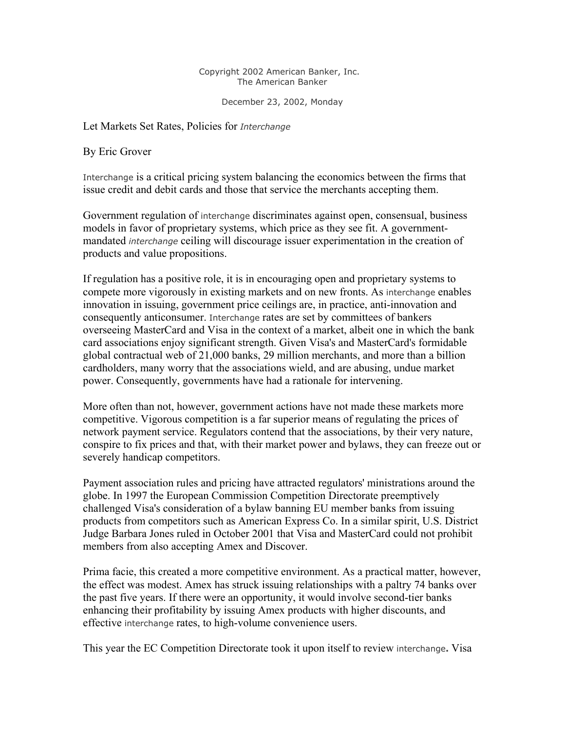## Copyright 2002 American Banker, Inc. The American Banker

December 23, 2002, Monday

Let Markets Set Rates, Policies for *Interchange*

By Eric Grover

Interchange is a critical pricing system balancing the economics between the firms that issue credit and debit cards and those that service the merchants accepting them.

Government regulation of interchange discriminates against open, consensual, business models in favor of proprietary systems, which price as they see fit. A governmentmandated *interchange* ceiling will discourage issuer experimentation in the creation of products and value propositions.

If regulation has a positive role, it is in encouraging open and proprietary systems to compete more vigorously in existing markets and on new fronts. As interchange enables innovation in issuing, government price ceilings are, in practice, anti-innovation and consequently anticonsumer. Interchange rates are set by committees of bankers overseeing MasterCard and Visa in the context of a market, albeit one in which the bank card associations enjoy significant strength. Given Visa's and MasterCard's formidable global contractual web of 21,000 banks, 29 million merchants, and more than a billion cardholders, many worry that the associations wield, and are abusing, undue market power. Consequently, governments have had a rationale for intervening.

More often than not, however, government actions have not made these markets more competitive. Vigorous competition is a far superior means of regulating the prices of network payment service. Regulators contend that the associations, by their very nature, conspire to fix prices and that, with their market power and bylaws, they can freeze out or severely handicap competitors.

Payment association rules and pricing have attracted regulators' ministrations around the globe. In 1997 the European Commission Competition Directorate preemptively challenged Visa's consideration of a bylaw banning EU member banks from issuing products from competitors such as American Express Co. In a similar spirit, U.S. District Judge Barbara Jones ruled in October 2001 that Visa and MasterCard could not prohibit members from also accepting Amex and Discover.

Prima facie, this created a more competitive environment. As a practical matter, however, the effect was modest. Amex has struck issuing relationships with a paltry 74 banks over the past five years. If there were an opportunity, it would involve second-tier banks enhancing their profitability by issuing Amex products with higher discounts, and effective interchange rates, to high-volume convenience users.

This year the EC Competition Directorate took it upon itself to review interchange**.** Visa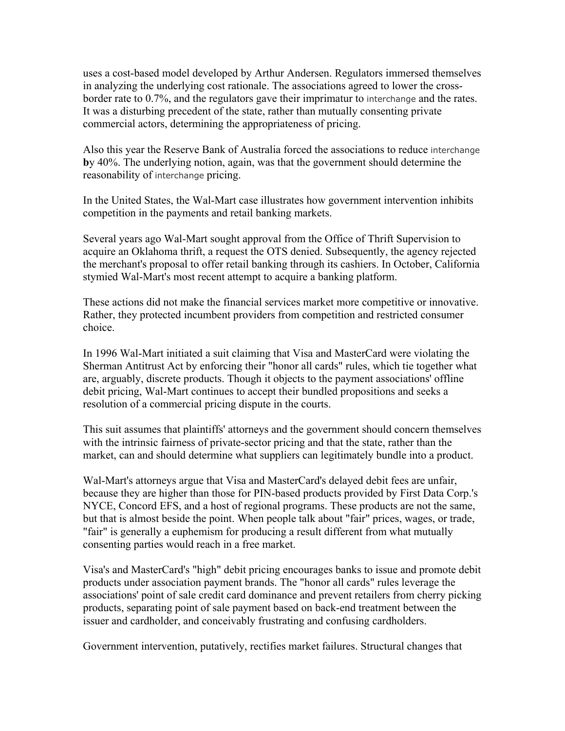uses a cost-based model developed by Arthur Andersen. Regulators immersed themselves in analyzing the underlying cost rationale. The associations agreed to lower the crossborder rate to 0.7%, and the regulators gave their imprimatur to interchange and the rates. It was a disturbing precedent of the state, rather than mutually consenting private commercial actors, determining the appropriateness of pricing.

Also this year the Reserve Bank of Australia forced the associations to reduce interchange **b**y 40%. The underlying notion, again, was that the government should determine the reasonability of interchange pricing.

In the United States, the Wal-Mart case illustrates how government intervention inhibits competition in the payments and retail banking markets.

Several years ago Wal-Mart sought approval from the Office of Thrift Supervision to acquire an Oklahoma thrift, a request the OTS denied. Subsequently, the agency rejected the merchant's proposal to offer retail banking through its cashiers. In October, California stymied Wal-Mart's most recent attempt to acquire a banking platform.

These actions did not make the financial services market more competitive or innovative. Rather, they protected incumbent providers from competition and restricted consumer choice.

In 1996 Wal-Mart initiated a suit claiming that Visa and MasterCard were violating the Sherman Antitrust Act by enforcing their "honor all cards" rules, which tie together what are, arguably, discrete products. Though it objects to the payment associations' offline debit pricing, Wal-Mart continues to accept their bundled propositions and seeks a resolution of a commercial pricing dispute in the courts.

This suit assumes that plaintiffs' attorneys and the government should concern themselves with the intrinsic fairness of private-sector pricing and that the state, rather than the market, can and should determine what suppliers can legitimately bundle into a product.

Wal-Mart's attorneys argue that Visa and MasterCard's delayed debit fees are unfair, because they are higher than those for PIN-based products provided by First Data Corp.'s NYCE, Concord EFS, and a host of regional programs. These products are not the same, but that is almost beside the point. When people talk about "fair" prices, wages, or trade, "fair" is generally a euphemism for producing a result different from what mutually consenting parties would reach in a free market.

Visa's and MasterCard's "high" debit pricing encourages banks to issue and promote debit products under association payment brands. The "honor all cards" rules leverage the associations' point of sale credit card dominance and prevent retailers from cherry picking products, separating point of sale payment based on back-end treatment between the issuer and cardholder, and conceivably frustrating and confusing cardholders.

Government intervention, putatively, rectifies market failures. Structural changes that